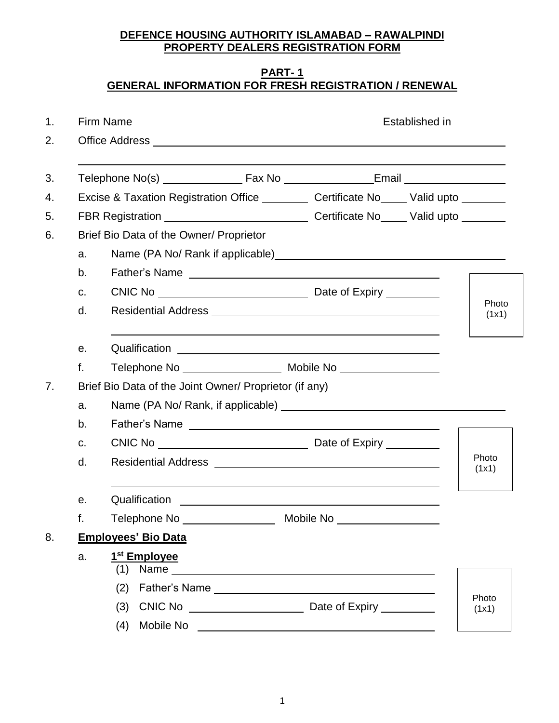### **DEFENCE HOUSING AUTHORITY ISLAMABAD – RAWALPINDI PROPERTY DEALERS REGISTRATION FORM**

#### **PART- 1 GENERAL INFORMATION FOR FRESH REGISTRATION / RENEWAL**

|    |                                                                                                                                                                                                                                       |                                                                                                                      | Established in _________ |  |
|----|---------------------------------------------------------------------------------------------------------------------------------------------------------------------------------------------------------------------------------------|----------------------------------------------------------------------------------------------------------------------|--------------------------|--|
|    |                                                                                                                                                                                                                                       |                                                                                                                      |                          |  |
|    |                                                                                                                                                                                                                                       |                                                                                                                      |                          |  |
|    | Excise & Taxation Registration Office __________ Certificate No_____ Valid upto _______                                                                                                                                               |                                                                                                                      |                          |  |
|    | FBR Registration _________________________________Certificate No_____Valid upto ________                                                                                                                                              |                                                                                                                      |                          |  |
|    | Brief Bio Data of the Owner/ Proprietor                                                                                                                                                                                               |                                                                                                                      |                          |  |
| a. |                                                                                                                                                                                                                                       |                                                                                                                      |                          |  |
| b. |                                                                                                                                                                                                                                       |                                                                                                                      |                          |  |
| C. |                                                                                                                                                                                                                                       |                                                                                                                      |                          |  |
| d. |                                                                                                                                                                                                                                       |                                                                                                                      | Photo<br>(1x1)           |  |
| е. |                                                                                                                                                                                                                                       |                                                                                                                      |                          |  |
| f. |                                                                                                                                                                                                                                       |                                                                                                                      |                          |  |
|    | Brief Bio Data of the Joint Owner/ Proprietor (if any)                                                                                                                                                                                |                                                                                                                      |                          |  |
| a. |                                                                                                                                                                                                                                       |                                                                                                                      |                          |  |
| b. |                                                                                                                                                                                                                                       |                                                                                                                      |                          |  |
| C. |                                                                                                                                                                                                                                       |                                                                                                                      |                          |  |
| d. |                                                                                                                                                                                                                                       |                                                                                                                      | Photo<br>(1x1)           |  |
| е. | Qualification                                                                                                                                                                                                                         | <u> 1989 - Johann Barbara, martin amerikan basal dan berasal dan berasal dalam basal dan berasal dan berasal dan</u> |                          |  |
| f. |                                                                                                                                                                                                                                       |                                                                                                                      |                          |  |
|    | <b>Employees' Bio Data</b>                                                                                                                                                                                                            |                                                                                                                      |                          |  |
| a. | 1 <sup>st</sup> Employee<br>(1)                                                                                                                                                                                                       |                                                                                                                      |                          |  |
|    | (2)                                                                                                                                                                                                                                   |                                                                                                                      |                          |  |
|    | $CNIC No$ $\qquad \qquad \qquad$<br>(3)                                                                                                                                                                                               | Date of Expiry _________                                                                                             | Photo<br>(1x1)           |  |
|    | Mobile No League and Contract and Contract of the Mobile No League and Contract and Contract of the Mobile and Contract and Contract and Contract and Contract and Contract and Contract and Contract and Contract and Contrac<br>(4) |                                                                                                                      |                          |  |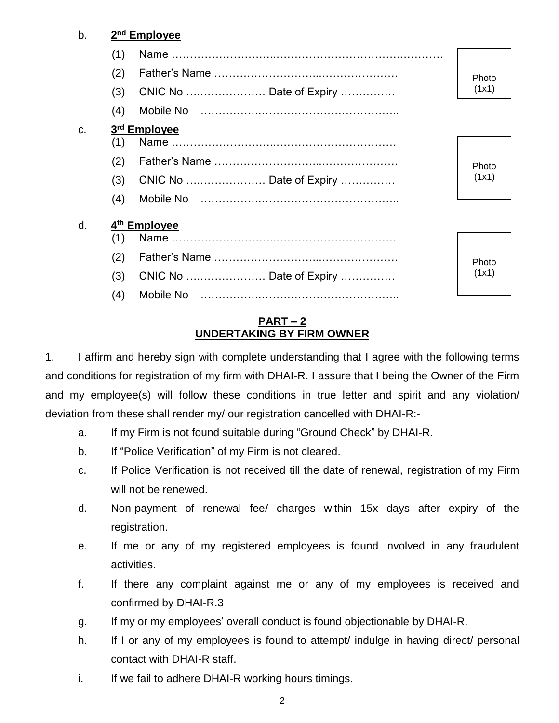#### b. **2 nd Employee**

|    | (1) |                          |       |
|----|-----|--------------------------|-------|
|    | (2) |                          | Photo |
|    | (3) | CNIC No  Date of Expiry  | (1x1) |
|    | (4) |                          |       |
| C. |     | 3rd Employee             |       |
|    | (1) |                          |       |
|    | (2) |                          | Photo |
|    | (3) | CNIC No  Date of Expiry  | (1x1) |
|    | (4) |                          |       |
| d. |     | 4 <sup>th</sup> Employee |       |
|    | (1) |                          |       |
|    | (2) |                          | Photo |
|    | (3) | CNIC No  Date of Expiry  | (1x1) |
|    | (4) |                          |       |
|    |     |                          |       |

#### **PART – 2 UNDERTAKING BY FIRM OWNER**

1. I affirm and hereby sign with complete understanding that I agree with the following terms and conditions for registration of my firm with DHAI-R. I assure that I being the Owner of the Firm and my employee(s) will follow these conditions in true letter and spirit and any violation/ deviation from these shall render my/ our registration cancelled with DHAI-R:-

- a. If my Firm is not found suitable during "Ground Check" by DHAI-R.
- b. If "Police Verification" of my Firm is not cleared.
- c. If Police Verification is not received till the date of renewal, registration of my Firm will not be renewed.
- d. Non-payment of renewal fee/ charges within 15x days after expiry of the registration.
- e. If me or any of my registered employees is found involved in any fraudulent activities.
- f. If there any complaint against me or any of my employees is received and confirmed by DHAI-R.3
- g. If my or my employees' overall conduct is found objectionable by DHAI-R.
- h. If I or any of my employees is found to attempt/ indulge in having direct/ personal contact with DHAI-R staff.
- i. If we fail to adhere DHAI-R working hours timings.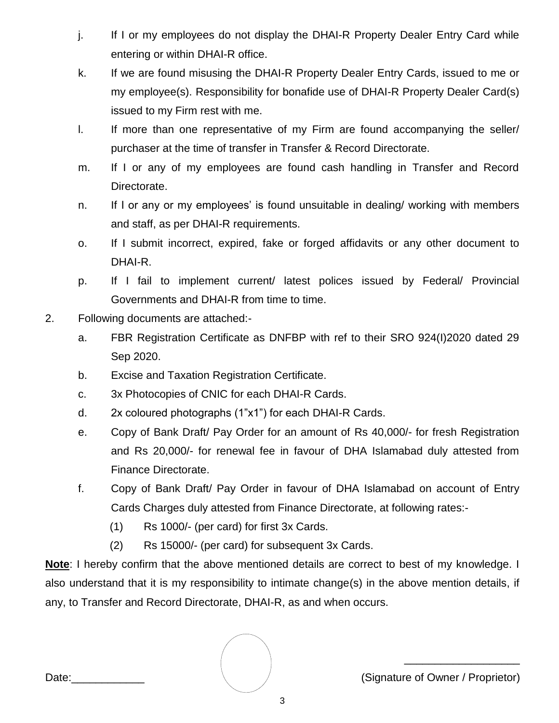- j. If I or my employees do not display the DHAI-R Property Dealer Entry Card while entering or within DHAI-R office.
- k. If we are found misusing the DHAI-R Property Dealer Entry Cards, issued to me or my employee(s). Responsibility for bonafide use of DHAI-R Property Dealer Card(s) issued to my Firm rest with me.
- l. If more than one representative of my Firm are found accompanying the seller/ purchaser at the time of transfer in Transfer & Record Directorate.
- m. If I or any of my employees are found cash handling in Transfer and Record Directorate.
- n. If I or any or my employees' is found unsuitable in dealing/ working with members and staff, as per DHAI-R requirements.
- o. If I submit incorrect, expired, fake or forged affidavits or any other document to DHAI-R.
- p. If I fail to implement current/ latest polices issued by Federal/ Provincial Governments and DHAI-R from time to time.
- 2. Following documents are attached:
	- a. FBR Registration Certificate as DNFBP with ref to their SRO 924(I)2020 dated 29 Sep 2020.
	- b. Excise and Taxation Registration Certificate.
	- c. 3x Photocopies of CNIC for each DHAI-R Cards.
	- d. 2x coloured photographs (1"x1") for each DHAI-R Cards.
	- e. Copy of Bank Draft/ Pay Order for an amount of Rs 40,000/- for fresh Registration and Rs 20,000/- for renewal fee in favour of DHA Islamabad duly attested from Finance Directorate.
	- f. Copy of Bank Draft/ Pay Order in favour of DHA Islamabad on account of Entry Cards Charges duly attested from Finance Directorate, at following rates:-
		- (1) Rs 1000/- (per card) for first 3x Cards.
		- (2) Rs 15000/- (per card) for subsequent 3x Cards.

**Note**: I hereby confirm that the above mentioned details are correct to best of my knowledge. I also understand that it is my responsibility to intimate change(s) in the above mention details, if any, to Transfer and Record Directorate, DHAI-R, as and when occurs.

Date:

(Signature of Owner / Proprietor)

\_\_\_\_\_\_\_\_\_\_\_\_\_\_\_\_\_\_\_